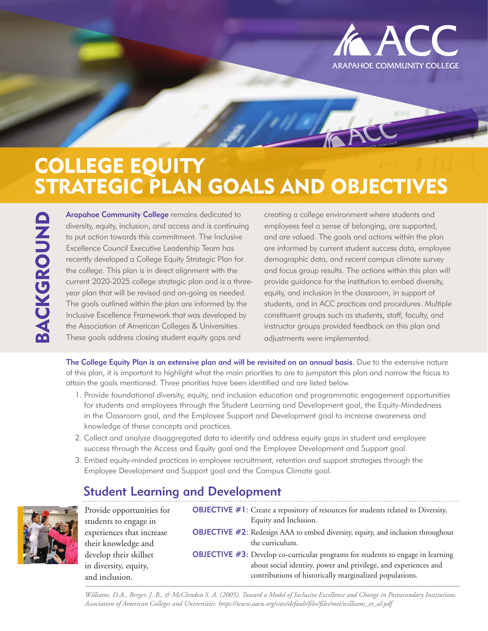

# COLLEGE EQUITY STRATEGIC PLAN GOALS AND OBJECTIVES

Arapahoe Community College remains dedicated to<br>diversity, equity, inclusion, and access and is continuir<br>to put action towards this commitment. The Inclusive<br>Excellence Council Executive Leadership Team has<br>recently devel diversity, equity, inclusion, and access and is continuing to put action towards this commitment. The Inclusive Excellence Council Executive Leadership Team has recently developed a College Equity Strategic Plan for the college. This plan is in direct alignment with the current 2020-2025 college strategic plan and is a threeyear plan that will be revised and on-going as needed. The goals outlined within the plan are informed by the Inclusive Excellence Framework that was developed by the Association of American Colleges & Universities. These goals address closing student equity gaps and

creating a college environment where students and employees feel a sense of belonging, are supported, and are valued. The goals and actions within the plan are informed by current student success data, employee demographic data, and recent campus climate survey and focus group results. The actions within this plan will provide guidance for the institution to embed diversity, equity, and inclusion in the classroom, in support of students, and in ACC practices and procedures. Multiple constituent groups such as students, staff, faculty, and instructor groups provided feedback on this plan and adjustments were implemented.

The College Equity Plan is an extensive plan and will be revisited on an annual basis. Due to the extensive nature of this plan, it is important to highlight what the main priorities to are to jumpstart this plan and narrow the focus to attain the goals mentioned. Three priorities have been identified and are listed below.

- 1. Provide foundational diversity, equity, and inclusion education and programmatic engagement opportunities for students and employees through the Student Learning and Development goal, the Equity-Mindedness in the Classroom goal, and the Employee Support and Development goal to increase awareness and knowledge of these concepts and practices.
- 2. Collect and analyze disaggregated data to identify and address equity gaps in student and employee success through the Access and Equity goal and the Employee Development and Support goal.
- 3. Embed equity-minded practices in employee recruitment, retention and support strategies through the Employee Development and Support goal and the Campus Climate goal.

### Student Learning and Development



Provide opportunities for students to engage in experiences that increase their knowledge and develop their skillset in diversity, equity, and inclusion.

OBJECTIVE #1: Create a repository of resources for students related to Diversity, Equity and Inclusion. OBJECTIVE #2: Redesign AAA to embed diversity, equity, and inclusion throughout the curriculum. OBJECTIVE #3: Develop co-curricular programs for students to engage in learning about social identity, power and privilege, and experiences and contributions of historically marginalized populations.

*Williams, D.A., Berger, J. B., & McClendon S. A. (2005). Toward a Model of Inclusive Excellence and Change in Postsecondary Institutions. Association of American Colleges and Universities. https://www.aacu.org/sites/default/files/files/mei/williams\_et\_al.pdf*